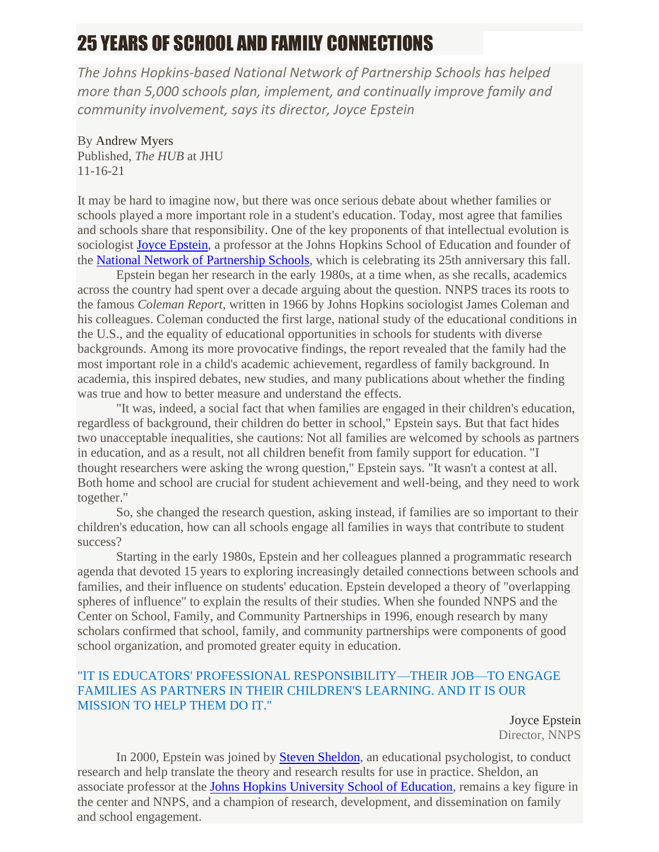## 25 YEARS OF SCHOOL AND FAMILY CONNECTIONS

*The Johns Hopkins-based National Network of Partnership Schools has helped more than 5,000 schools plan, implement, and continually improve family and community involvement, says its director, Joyce Epstein*

By Andrew Myers Published, *The HUB* at JHU 11-16-21

It may be hard to imagine now, but there was once serious debate about whether families or schools played a more important role in a student's education. Today, most agree that families and schools share that responsibility. One of the key proponents of that intellectual evolution is sociologist [Joyce Epstein,](http://nnps.jhucsos.com/meet-the-staff/dr-joyce-l-epstein/) a professor at the Johns Hopkins School of Education and founder of the [National Network of Partnership Schools,](http://nnps.jhucsos.com/) which is celebrating its 25th anniversary this fall.

Epstein began her research in the early 1980s, at a time when, as she recalls, academics across the country had spent over a decade arguing about the question. NNPS traces its roots to the famous *Coleman Report*, written in 1966 by Johns Hopkins sociologist James Coleman and his colleagues. Coleman conducted the first large, national study of the educational conditions in the U.S., and the equality of educational opportunities in schools for students with diverse backgrounds. Among its more provocative findings, the report revealed that the family had the most important role in a child's academic achievement, regardless of family background. In academia, this inspired debates, new studies, and many publications about whether the finding was true and how to better measure and understand the effects.

"It was, indeed, a social fact that when families are engaged in their children's education, regardless of background, their children do better in school," Epstein says. But that fact hides two unacceptable inequalities, she cautions: Not all families are welcomed by schools as partners in education, and as a result, not all children benefit from family support for education. "I thought researchers were asking the wrong question," Epstein says. "It wasn't a contest at all. Both home and school are crucial for student achievement and well-being, and they need to work together."

So, she changed the research question, asking instead, if families are so important to their children's education, how can all schools engage all families in ways that contribute to student success?

Starting in the early 1980s, Epstein and her colleagues planned a programmatic research agenda that devoted 15 years to exploring increasingly detailed connections between schools and families, and their influence on students' education. Epstein developed a theory of "overlapping spheres of influence" to explain the results of their studies. When she founded NNPS and the Center on School, Family, and Community Partnerships in 1996, enough research by many scholars confirmed that school, family, and community partnerships were components of good school organization, and promoted greater equity in education.

## "IT IS EDUCATORS' PROFESSIONAL RESPONSIBILITY—THEIR JOB—TO ENGAGE FAMILIES AS PARTNERS IN THEIR CHILDREN'S LEARNING. AND IT IS OUR MISSION TO HELP THEM DO IT."

Joyce Epstein Director, NNPS

In 2000, Epstein was joined by [Steven Sheldon,](http://nnps.jhucsos.com/meet-the-staff/dr-steven-b-sheldon/) an educational psychologist, to conduct research and help translate the theory and research results for use in practice. Sheldon, an associate professor at the [Johns Hopkins University School of Education,](https://education.jhu.edu/) remains a key figure in the center and NNPS, and a champion of research, development, and dissemination on family and school engagement.